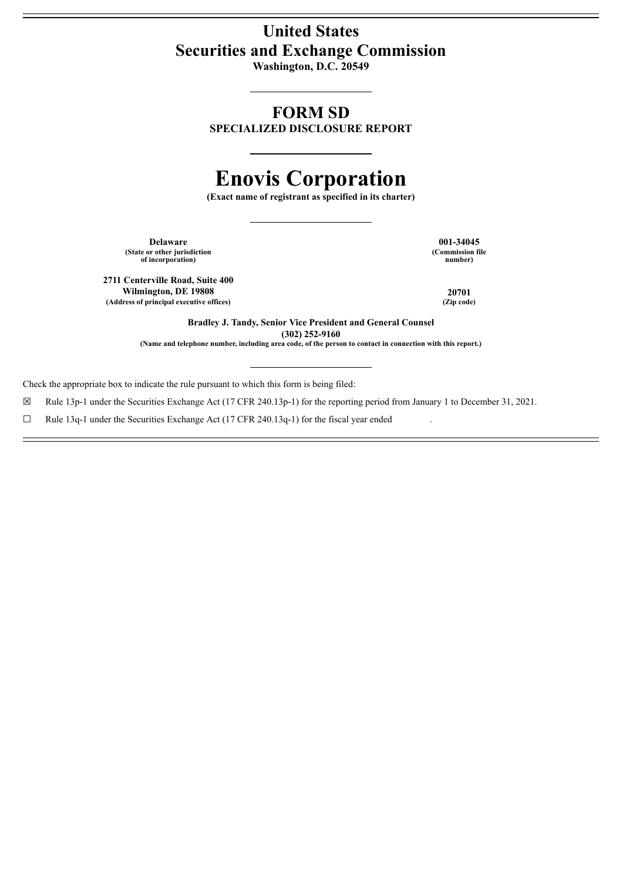# **United States Securities and Exchange Commission**

**Washington, D.C. 20549**

# **FORM SD**

**SPECIALIZED DISCLOSURE REPORT**

# **Enovis Corporation**

**(Exact name of registrant as specified in its charter)**

**Delaware 001-34045**<br> **101-34045**<br> **101-34045**<br> **101-34045**<br> **101-34045 (State or other jurisdiction of incorporation**) **(Commission of incorporation**) *number* **of incorporation) number)**

**2711 Centerville Road, Suite 400 Wilmington, DE** 19808 **20701**<br> **Press of principal executive offices**) (*Zip code*) **20701 (Address of principal executive offices) (Zip code)**

**Bradley J. Tandy, Senior Vice President and General Counsel (302) 252-9160**

(Name and telephone number, including area code, of the person to contact in connection with this report.)

Check the appropriate box to indicate the rule pursuant to which this form is being filed:

☒ Rule 13p-1 under the Securities Exchange Act (17 CFR 240.13p-1) for the reporting period from January 1 to December 31, 2021.

 $\Box$  Rule 13q-1 under the Securities Exchange Act (17 CFR 240.13q-1) for the fiscal year ended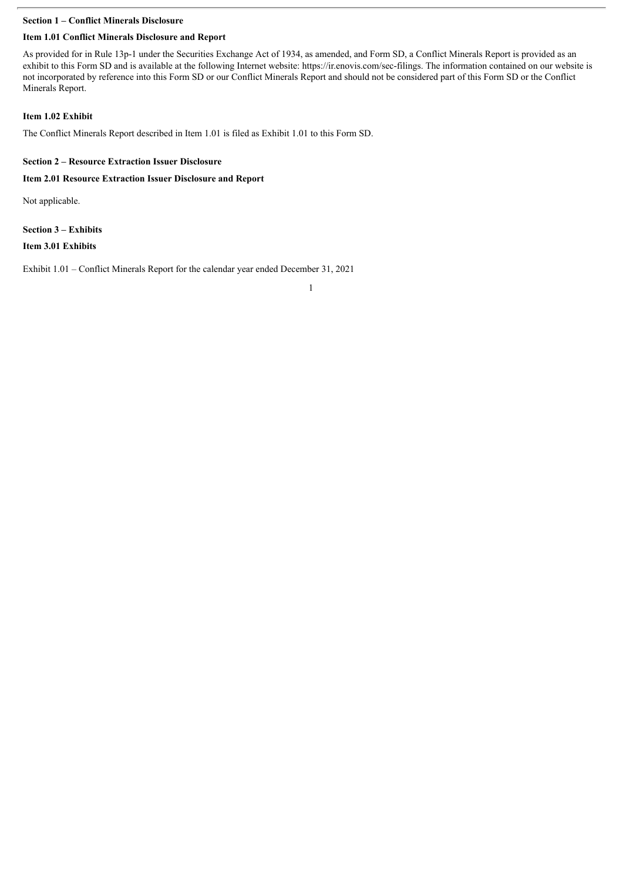# **Section 1 – Conflict Minerals Disclosure**

## **Item 1.01 Conflict Minerals Disclosure and Report**

As provided for in Rule 13p-1 under the Securities Exchange Act of 1934, as amended, and Form SD, a Conflict Minerals Report is provided as an exhibit to this Form SD and is available at the following Internet website: https://ir.enovis.com/sec-filings. The information contained on our website is not incorporated by reference into this Form SD or our Conflict Minerals Report and should not be considered part of this Form SD or the Conflict Minerals Report.

#### **Item 1.02 Exhibit**

The Conflict Minerals Report described in Item 1.01 is filed as Exhibit 1.01 to this Form SD.

#### **Section 2 – Resource Extraction Issuer Disclosure**

#### **Item 2.01 Resource Extraction Issuer Disclosure and Report**

Not applicable.

#### **Section 3 – Exhibits**

**Item 3.01 Exhibits**

Exhibit 1.01 – Conflict Minerals Report for the calendar year ended December 31, 2021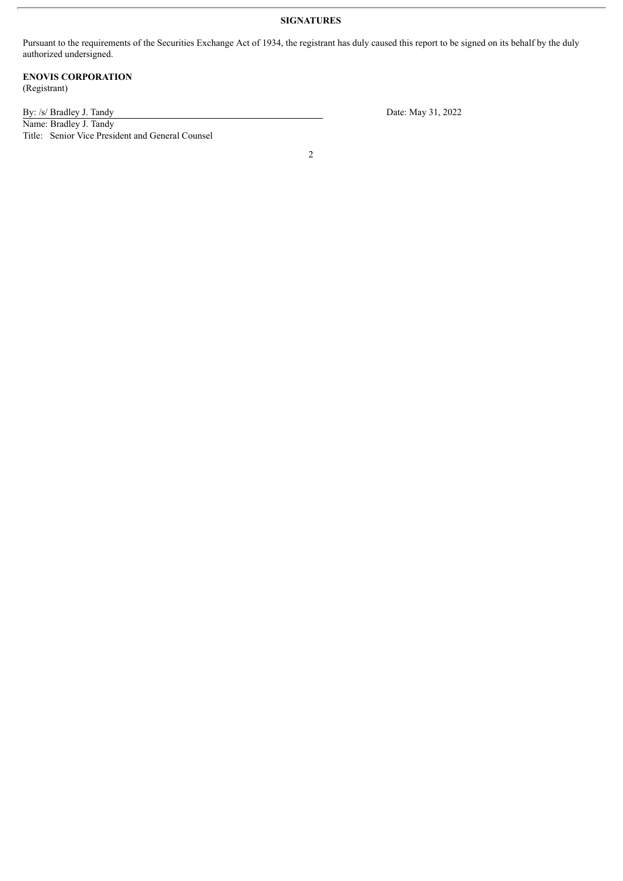# **SIGNATURES**

Pursuant to the requirements of the Securities Exchange Act of 1934, the registrant has duly caused this report to be signed on its behalf by the duly authorized undersigned.

#### **ENOVIS CORPORATION** (Registrant)

Name: Bradley J. Tandy Title: Senior Vice President and General Counsel

By: /s/ Bradley J. Tandy Date: May 31, 2022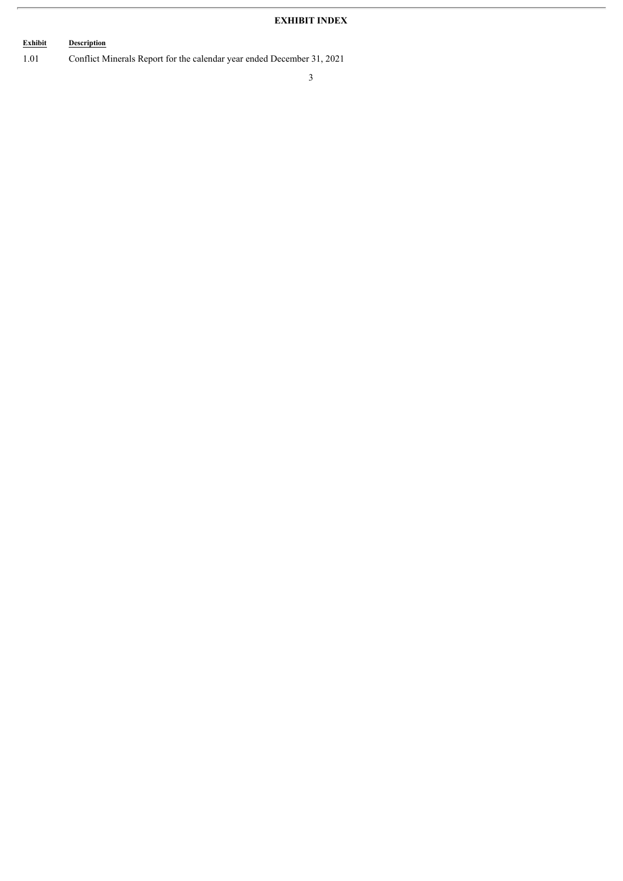# **EXHIBIT INDEX**

# **Exhibit Description**

1.01 Conflict Minerals Report for the calendar year ended December 31, 2021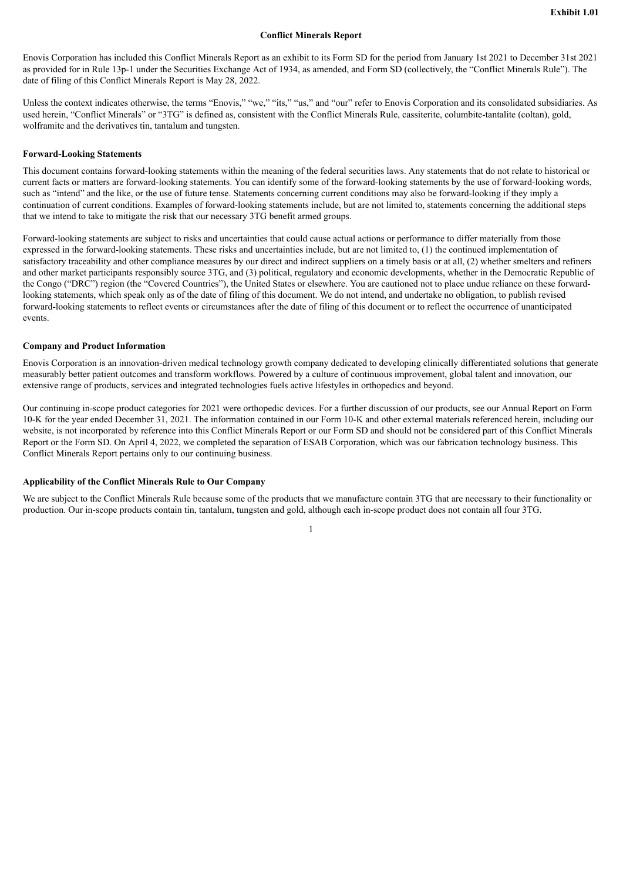#### **Conflict Minerals Report**

Enovis Corporation has included this Conflict Minerals Report as an exhibit to its Form SD for the period from January 1st 2021 to December 31st 2021 as provided for in Rule 13p-1 under the Securities Exchange Act of 1934, as amended, and Form SD (collectively, the "Conflict Minerals Rule"). The date of filing of this Conflict Minerals Report is May 28, 2022.

Unless the context indicates otherwise, the terms "Enovis," "we," "its," "us," and "our" refer to Enovis Corporation and its consolidated subsidiaries. As used herein, "Conflict Minerals" or "3TG" is defined as, consistent with the Conflict Minerals Rule, cassiterite, columbite-tantalite (coltan), gold, wolframite and the derivatives tin, tantalum and tungsten.

#### **Forward-Looking Statements**

This document contains forward-looking statements within the meaning of the federal securities laws. Any statements that do not relate to historical or current facts or matters are forward-looking statements. You can identify some of the forward-looking statements by the use of forward-looking words, such as "intend" and the like, or the use of future tense. Statements concerning current conditions may also be forward-looking if they imply a continuation of current conditions. Examples of forward-looking statements include, but are not limited to, statements concerning the additional steps that we intend to take to mitigate the risk that our necessary 3TG benefit armed groups.

Forward-looking statements are subject to risks and uncertainties that could cause actual actions or performance to differ materially from those expressed in the forward-looking statements. These risks and uncertainties include, but are not limited to, (1) the continued implementation of satisfactory traceability and other compliance measures by our direct and indirect suppliers on a timely basis or at all, (2) whether smelters and refiners and other market participants responsibly source 3TG, and (3) political, regulatory and economic developments, whether in the Democratic Republic of the Congo ("DRC") region (the "Covered Countries"), the United States or elsewhere. You are cautioned not to place undue reliance on these forwardlooking statements, which speak only as of the date of filing of this document. We do not intend, and undertake no obligation, to publish revised forward-looking statements to reflect events or circumstances after the date of filing of this document or to reflect the occurrence of unanticipated events.

#### **Company and Product Information**

Enovis Corporation is an innovation-driven medical technology growth company dedicated to developing clinically differentiated solutions that generate measurably better patient outcomes and transform workflows. Powered by a culture of continuous improvement, global talent and innovation, our extensive range of products, services and integrated technologies fuels active lifestyles in orthopedics and beyond.

Our continuing in-scope product categories for 2021 were orthopedic devices. For a further discussion of our products, see our Annual Report on Form 10-K for the year ended December 31, 2021. The information contained in our Form 10-K and other external materials referenced herein, including our website, is not incorporated by reference into this Conflict Minerals Report or our Form SD and should not be considered part of this Conflict Minerals Report or the Form SD. On April 4, 2022, we completed the separation of ESAB Corporation, which was our fabrication technology business. This Conflict Minerals Report pertains only to our continuing business.

#### **Applicability of the Conflict Minerals Rule to Our Company**

We are subject to the Conflict Minerals Rule because some of the products that we manufacture contain 3TG that are necessary to their functionality or production. Our in-scope products contain tin, tantalum, tungsten and gold, although each in-scope product does not contain all four 3TG.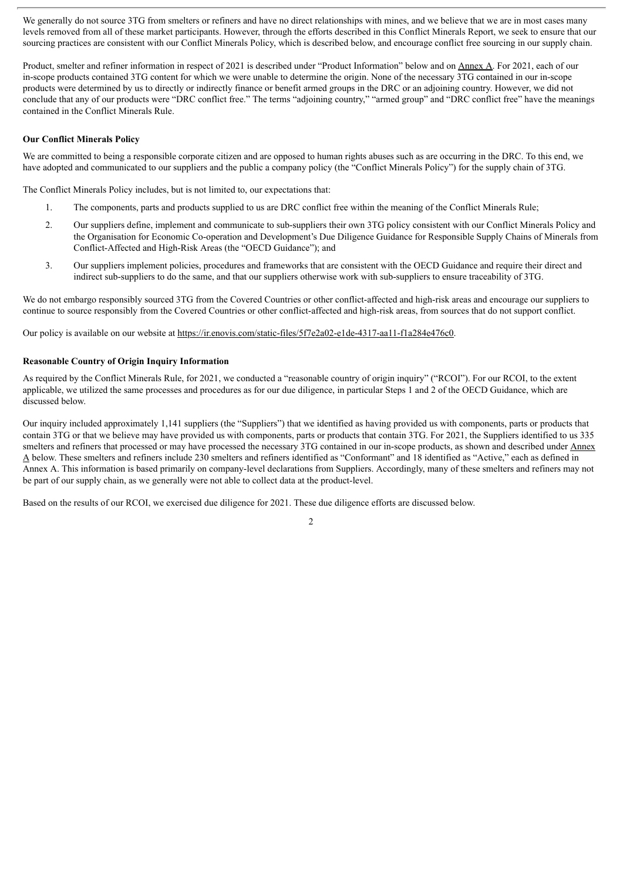We generally do not source 3TG from smelters or refiners and have no direct relationships with mines, and we believe that we are in most cases many levels removed from all of these market participants. However, through the efforts described in this Conflict Minerals Report, we seek to ensure that our sourcing practices are consistent with our Conflict Minerals Policy, which is described below, and encourage conflict free sourcing in our supply chain.

Product, smelter and refiner information in respect of 2021 is described under "Product Information" below and on Annex A. For 2021, each of our in-scope products contained 3TG content for which we were unable to determine the origin. None of the necessary 3TG contained in our in-scope products were determined by us to directly or indirectly finance or benefit armed groups in the DRC or an adjoining country. However, we did not conclude that any of our products were "DRC conflict free." The terms "adjoining country," "armed group" and "DRC conflict free" have the meanings contained in the Conflict Minerals Rule.

#### **Our Conflict Minerals Policy**

We are committed to being a responsible corporate citizen and are opposed to human rights abuses such as are occurring in the DRC. To this end, we have adopted and communicated to our suppliers and the public a company policy (the "Conflict Minerals Policy") for the supply chain of 3TG.

The Conflict Minerals Policy includes, but is not limited to, our expectations that:

- 1. The components, parts and products supplied to us are DRC conflict free within the meaning of the Conflict Minerals Rule;
- 2. Our suppliers define, implement and communicate to sub-suppliers their own 3TG policy consistent with our Conflict Minerals Policy and the Organisation for Economic Co-operation and Development's Due Diligence Guidance for Responsible Supply Chains of Minerals from Conflict-Affected and High-Risk Areas (the "OECD Guidance"); and
- 3. Our suppliers implement policies, procedures and frameworks that are consistent with the OECD Guidance and require their direct and indirect sub-suppliers to do the same, and that our suppliers otherwise work with sub-suppliers to ensure traceability of 3TG.

We do not embargo responsibly sourced 3TG from the Covered Countries or other conflict-affected and high-risk areas and encourage our suppliers to continue to source responsibly from the Covered Countries or other conflict-affected and high-risk areas, from sources that do not support conflict.

Our policy is available on our website at https://ir.enovis.com/static-files/5f7e2a02-e1de-4317-aa11-f1a284e476c0.

#### **Reasonable Country of Origin Inquiry Information**

As required by the Conflict Minerals Rule, for 2021, we conducted a "reasonable country of origin inquiry" ("RCOI"). For our RCOI, to the extent applicable, we utilized the same processes and procedures as for our due diligence, in particular Steps 1 and 2 of the OECD Guidance, which are discussed below.

Our inquiry included approximately 1,141 suppliers (the "Suppliers") that we identified as having provided us with components, parts or products that contain 3TG or that we believe may have provided us with components, parts or products that contain 3TG. For 2021, the Suppliers identified to us 335 smelters and refiners that processed or may have processed the necessary 3TG contained in our in-scope products, as shown and described under Annex A below. These smelters and refiners include 230 smelters and refiners identified as "Conformant" and 18 identified as "Active," each as defined in Annex A. This information is based primarily on company-level declarations from Suppliers. Accordingly, many of these smelters and refiners may not be part of our supply chain, as we generally were not able to collect data at the product-level.

Based on the results of our RCOI, we exercised due diligence for 2021. These due diligence efforts are discussed below.

 $\overline{2}$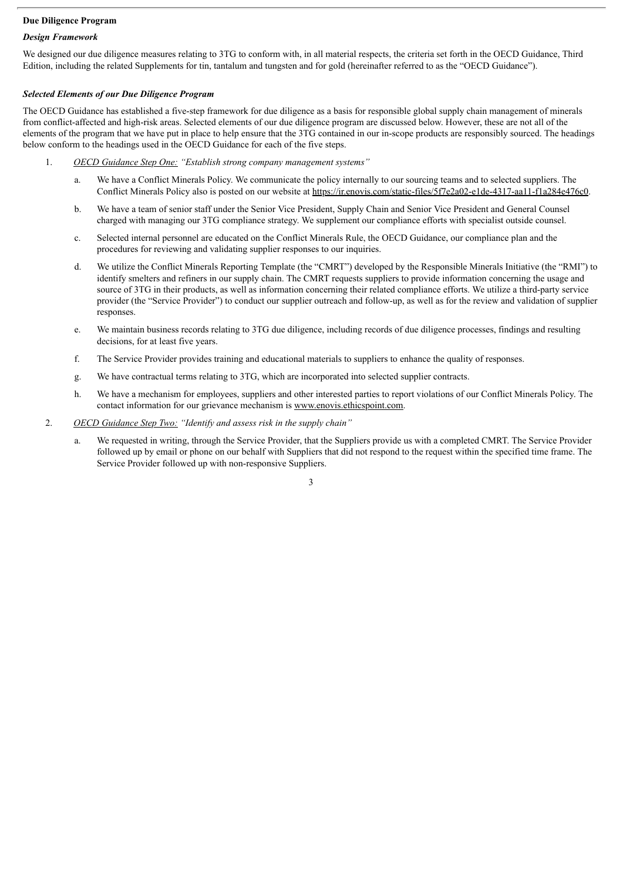# **Due Diligence Program**

## *Design Framework*

We designed our due diligence measures relating to 3TG to conform with, in all material respects, the criteria set forth in the OECD Guidance. Third Edition, including the related Supplements for tin, tantalum and tungsten and for gold (hereinafter referred to as the "OECD Guidance").

#### *Selected Elements of our Due Diligence Program*

The OECD Guidance has established a five-step framework for due diligence as a basis for responsible global supply chain management of minerals from conflict-affected and high-risk areas. Selected elements of our due diligence program are discussed below. However, these are not all of the elements of the program that we have put in place to help ensure that the 3TG contained in our in-scope products are responsibly sourced. The headings below conform to the headings used in the OECD Guidance for each of the five steps.

- 1. *OECD Guidance Step One: "Establish strong company management systems"*
	- a. We have a Conflict Minerals Policy. We communicate the policy internally to our sourcing teams and to selected suppliers. The Conflict Minerals Policy also is posted on our website at https://ir.enovis.com/static-files/5f7e2a02-e1de-4317-aa11-f1a284e476c0.
	- b. We have a team of senior staff under the Senior Vice President, Supply Chain and Senior Vice President and General Counsel charged with managing our 3TG compliance strategy. We supplement our compliance efforts with specialist outside counsel.
	- c. Selected internal personnel are educated on the Conflict Minerals Rule, the OECD Guidance, our compliance plan and the procedures for reviewing and validating supplier responses to our inquiries.
	- d. We utilize the Conflict Minerals Reporting Template (the "CMRT") developed by the Responsible Minerals Initiative (the "RMI") to identify smelters and refiners in our supply chain. The CMRT requests suppliers to provide information concerning the usage and source of 3TG in their products, as well as information concerning their related compliance efforts. We utilize a third-party service provider (the "Service Provider") to conduct our supplier outreach and follow-up, as well as for the review and validation of supplier responses.
	- e. We maintain business records relating to 3TG due diligence, including records of due diligence processes, findings and resulting decisions, for at least five years.
	- f. The Service Provider provides training and educational materials to suppliers to enhance the quality of responses.
	- g. We have contractual terms relating to 3TG, which are incorporated into selected supplier contracts.
	- h. We have a mechanism for employees, suppliers and other interested parties to report violations of our Conflict Minerals Policy. The contact information for our grievance mechanism is www.enovis.ethicspoint.com.
- 2. *OECD Guidance Step Two: "Identify and assess risk in the supply chain"*
	- a. We requested in writing, through the Service Provider, that the Suppliers provide us with a completed CMRT. The Service Provider followed up by email or phone on our behalf with Suppliers that did not respond to the request within the specified time frame. The Service Provider followed up with non-responsive Suppliers.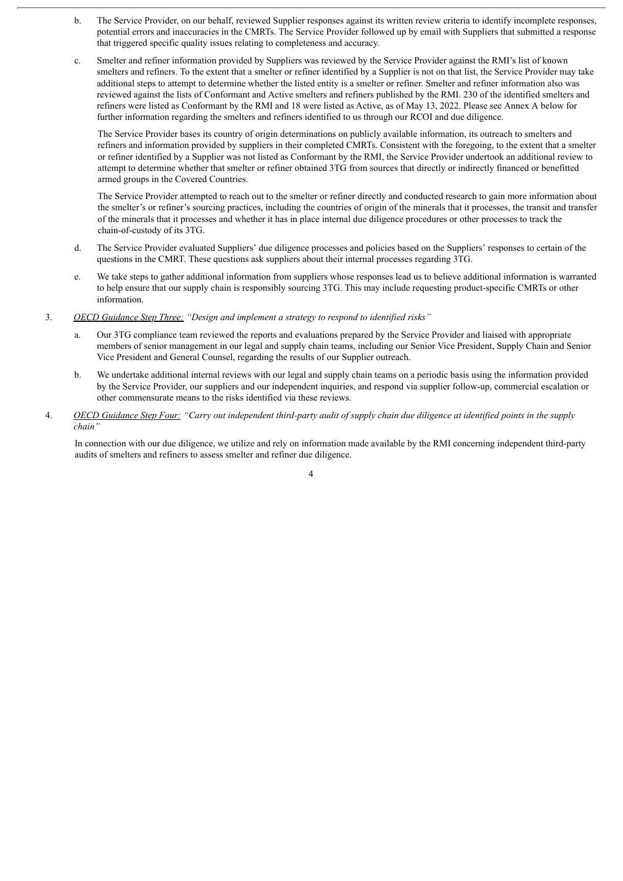- b. The Service Provider, on our behalf, reviewed Supplier responses against its written review criteria to identify incomplete responses, potential errors and inaccuracies in the CMRTs. The Service Provider followed up by email with Suppliers that submitted a response that triggered specific quality issues relating to completeness and accuracy.
- c. Smelter and refiner information provided by Suppliers was reviewed by the Service Provider against the RMI's list of known smelters and refiners. To the extent that a smelter or refiner identified by a Supplier is not on that list, the Service Provider may take additional steps to attempt to determine whether the listed entity is a smelter or refiner. Smelter and refiner information also was reviewed against the lists of Conformant and Active smelters and refiners published by the RMI. 230 of the identified smelters and refiners were listed as Conformant by the RMI and 18 were listed as Active, as of May 13, 2022. Please see Annex A below for further information regarding the smelters and refiners identified to us through our RCOI and due diligence.

The Service Provider bases its country of origin determinations on publicly available information, its outreach to smelters and refiners and information provided by suppliers in their completed CMRTs. Consistent with the foregoing, to the extent that a smelter or refiner identified by a Supplier was not listed as Conformant by the RMI, the Service Provider undertook an additional review to attempt to determine whether that smelter or refiner obtained 3TG from sources that directly or indirectly financed or benefitted armed groups in the Covered Countries.

The Service Provider attempted to reach out to the smelter or refiner directly and conducted research to gain more information about the smelter's or refiner's sourcing practices, including the countries of origin of the minerals that it processes, the transit and transfer of the minerals that it processes and whether it has in place internal due diligence procedures or other processes to track the chain-of-custody of its 3TG.

- d. The Service Provider evaluated Suppliers' due diligence processes and policies based on the Suppliers' responses to certain of the questions in the CMRT. These questions ask suppliers about their internal processes regarding 3TG.
- e. We take steps to gather additional information from suppliers whose responses lead us to believe additional information is warranted to help ensure that our supply chain is responsibly sourcing 3TG. This may include requesting product-specific CMRTs or other information.
- 3. *OECD Guidance Step Three: "Design and implement a strategy to respond to identified risks"*
	- a. Our 3TG compliance team reviewed the reports and evaluations prepared by the Service Provider and liaised with appropriate members of senior management in our legal and supply chain teams, including our Senior Vice President, Supply Chain and Senior Vice President and General Counsel, regarding the results of our Supplier outreach.
	- b. We undertake additional internal reviews with our legal and supply chain teams on a periodic basis using the information provided by the Service Provider, our suppliers and our independent inquiries, and respond via supplier follow-up, commercial escalation or other commensurate means to the risks identified via these reviews.
- 4. OECD Guidance Step Four: "Carry out independent third-party audit of supply chain due diligence at identified points in the supply *chain"*

In connection with our due diligence, we utilize and rely on information made available by the RMI concerning independent third-party audits of smelters and refiners to assess smelter and refiner due diligence.

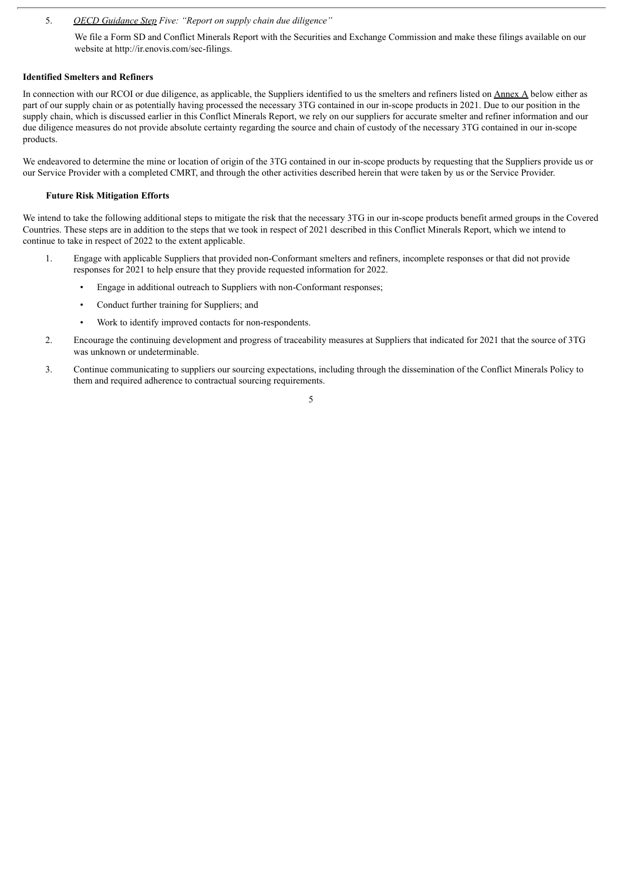5. *OECD Guidance Step Five: "Report on supply chain due diligence"*

We file a Form SD and Conflict Minerals Report with the Securities and Exchange Commission and make these filings available on our website at http://ir.enovis.com/sec-filings.

#### **Identified Smelters and Refiners**

In connection with our RCOI or due diligence, as applicable, the Suppliers identified to us the smelters and refiners listed on Annex A below either as part of our supply chain or as potentially having processed the necessary 3TG contained in our in-scope products in 2021. Due to our position in the supply chain, which is discussed earlier in this Conflict Minerals Report, we rely on our suppliers for accurate smelter and refiner information and our due diligence measures do not provide absolute certainty regarding the source and chain of custody of the necessary 3TG contained in our in-scope products.

We endeavored to determine the mine or location of origin of the 3TG contained in our in-scope products by requesting that the Suppliers provide us or our Service Provider with a completed CMRT, and through the other activities described herein that were taken by us or the Service Provider.

#### **Future Risk Mitigation Efforts**

We intend to take the following additional steps to mitigate the risk that the necessary 3TG in our in-scope products benefit armed groups in the Covered Countries. These steps are in addition to the steps that we took in respect of 2021 described in this Conflict Minerals Report, which we intend to continue to take in respect of 2022 to the extent applicable.

- 1. Engage with applicable Suppliers that provided non-Conformant smelters and refiners, incomplete responses or that did not provide responses for 2021 to help ensure that they provide requested information for 2022.
	- Engage in additional outreach to Suppliers with non-Conformant responses;
	- Conduct further training for Suppliers; and
	- Work to identify improved contacts for non-respondents.
- 2. Encourage the continuing development and progress of traceability measures at Suppliers that indicated for 2021 that the source of 3TG was unknown or undeterminable.
- 3. Continue communicating to suppliers our sourcing expectations, including through the dissemination of the Conflict Minerals Policy to them and required adherence to contractual sourcing requirements.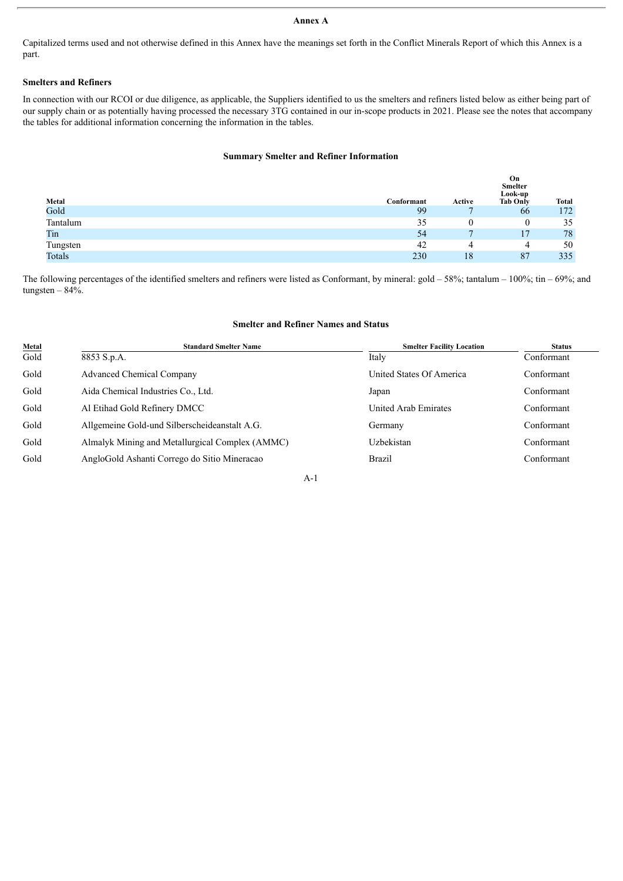# **Annex A**

Capitalized terms used and not otherwise defined in this Annex have the meanings set forth in the Conflict Minerals Report of which this Annex is a part.

#### **Smelters and Refiners**

In connection with our RCOI or due diligence, as applicable, the Suppliers identified to us the smelters and refiners listed below as either being part of our supply chain or as potentially having processed the necessary 3TG contained in our in-scope products in 2021. Please see the notes that accompany the tables for additional information concerning the information in the tables.

#### **Summary Smelter and Refiner Information**

|          |            |        | On<br><b>Smelter</b><br>Look-up |              |
|----------|------------|--------|---------------------------------|--------------|
| Metal    | Conformant | Active | <b>Tab Only</b>                 | <b>Total</b> |
| Gold     | 99         |        | 66                              | 172          |
| Tantalum | 35         | ν      | 0                               | 35           |
| Tin      | 54         |        |                                 | 78           |
| Tungsten | 42         | 4      | 4                               | 50           |
| Totals   | 230        | 18     | 87                              | 335          |

The following percentages of the identified smelters and refiners were listed as Conformant, by mineral: gold – 58%; tantalum – 100%; tin – 69%; and tungsten  $-84%$ .

## **Smelter and Refiner Names and Status**

| <b>Metal</b> | <b>Standard Smelter Name</b>                    | <b>Smelter Facility Location</b> | <b>Status</b> |
|--------------|-------------------------------------------------|----------------------------------|---------------|
| Gold         | 8853 S.p.A.                                     | Italy                            | Conformant    |
| Gold         | <b>Advanced Chemical Company</b>                | United States Of America         | Conformant    |
| Gold         | Aida Chemical Industries Co., Ltd.              | Japan                            | Conformant    |
| Gold         | Al Etihad Gold Refinery DMCC                    | United Arab Emirates             | Conformant    |
| Gold         | Allgemeine Gold-und Silberscheideanstalt A.G.   | Germany                          | Conformant    |
| Gold         | Almalyk Mining and Metallurgical Complex (AMMC) | Uzbekistan                       | Conformant    |
| Gold         | AngloGold Ashanti Corrego do Sitio Mineracao    | Brazil                           | Conformant    |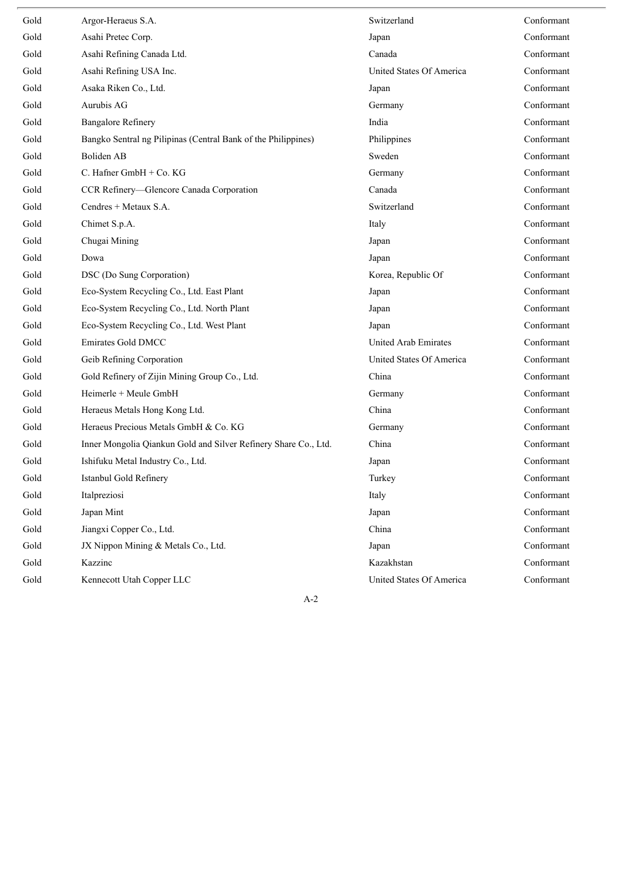| Gold | Argor-Heraeus S.A.                                              | Switzerland              | Conformant |
|------|-----------------------------------------------------------------|--------------------------|------------|
| Gold | Asahi Pretec Corp.                                              | Japan                    | Conformant |
| Gold | Asahi Refining Canada Ltd.                                      | Canada                   | Conformant |
| Gold | Asahi Refining USA Inc.                                         | United States Of America | Conformant |
| Gold | Asaka Riken Co., Ltd.                                           | Japan                    | Conformant |
| Gold | Aurubis AG                                                      | Germany                  | Conformant |
| Gold | <b>Bangalore Refinery</b>                                       | India                    | Conformant |
| Gold | Bangko Sentral ng Pilipinas (Central Bank of the Philippines)   | Philippines              | Conformant |
| Gold | Boliden AB                                                      | Sweden                   | Conformant |
| Gold | C. Hafner $GmbH + Co. KG$                                       | Germany                  | Conformant |
| Gold | CCR Refinery-Glencore Canada Corporation                        | Canada                   | Conformant |
| Gold | Cendres + Metaux S.A.                                           | Switzerland              | Conformant |
| Gold | Chimet S.p.A.                                                   | Italy                    | Conformant |
| Gold | Chugai Mining                                                   | Japan                    | Conformant |
| Gold | Dowa                                                            | Japan                    | Conformant |
| Gold | DSC (Do Sung Corporation)                                       | Korea, Republic Of       | Conformant |
| Gold | Eco-System Recycling Co., Ltd. East Plant                       | Japan                    | Conformant |
| Gold | Eco-System Recycling Co., Ltd. North Plant                      | Japan                    | Conformant |
| Gold | Eco-System Recycling Co., Ltd. West Plant                       | Japan                    | Conformant |
| Gold | <b>Emirates Gold DMCC</b>                                       | United Arab Emirates     | Conformant |
| Gold | Geib Refining Corporation                                       | United States Of America | Conformant |
| Gold | Gold Refinery of Zijin Mining Group Co., Ltd.                   | China                    | Conformant |
| Gold | Heimerle + Meule GmbH                                           | Germany                  | Conformant |
| Gold | Heraeus Metals Hong Kong Ltd.                                   | China                    | Conformant |
| Gold | Heraeus Precious Metals GmbH & Co. KG                           | Germany                  | Conformant |
| Gold | Inner Mongolia Qiankun Gold and Silver Refinery Share Co., Ltd. | China                    | Conformant |
| Gold | Ishifuku Metal Industry Co., Ltd.                               | Japan                    | Conformant |
| Gold | Istanbul Gold Refinery                                          | Turkey                   | Conformant |
| Gold | Italpreziosi                                                    | Italy                    | Conformant |
| Gold | Japan Mint                                                      | Japan                    | Conformant |
| Gold | Jiangxi Copper Co., Ltd.                                        | China                    | Conformant |
| Gold | JX Nippon Mining & Metals Co., Ltd.                             | Japan                    | Conformant |
| Gold | Kazzinc                                                         | Kazakhstan               | Conformant |
| Gold | Kennecott Utah Copper LLC                                       | United States Of America | Conformant |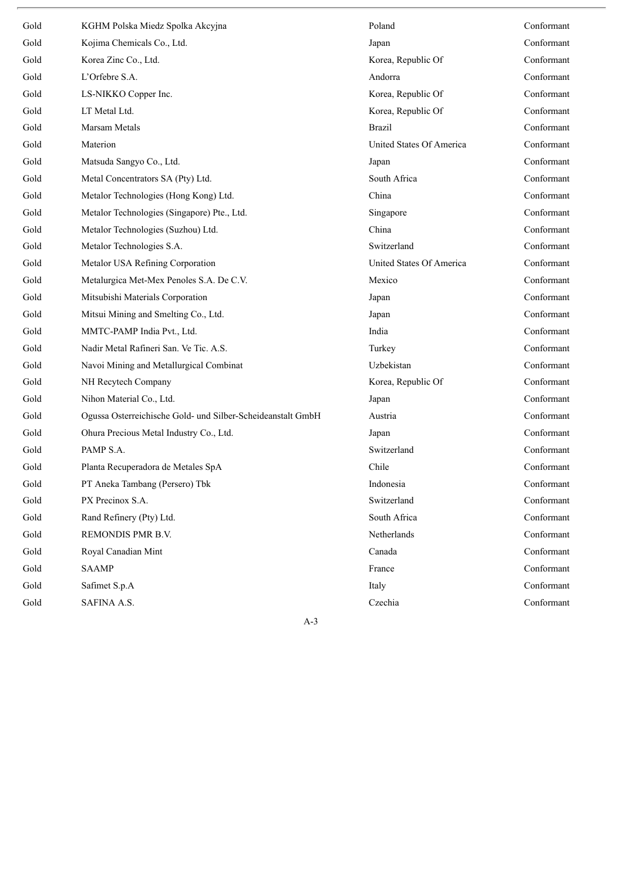| Gold | KGHM Polska Miedz Spolka Akcyjna                            | Poland                   | Conformant |
|------|-------------------------------------------------------------|--------------------------|------------|
| Gold | Kojima Chemicals Co., Ltd.                                  | Japan                    | Conformant |
| Gold | Korea Zinc Co., Ltd.                                        | Korea, Republic Of       | Conformant |
| Gold | L'Orfebre S.A.                                              | Andorra                  | Conformant |
| Gold | LS-NIKKO Copper Inc.                                        | Korea, Republic Of       | Conformant |
| Gold | LT Metal Ltd.                                               | Korea, Republic Of       | Conformant |
| Gold | Marsam Metals                                               | <b>Brazil</b>            | Conformant |
| Gold | Materion                                                    | United States Of America | Conformant |
| Gold | Matsuda Sangyo Co., Ltd.                                    | Japan                    | Conformant |
| Gold | Metal Concentrators SA (Pty) Ltd.                           | South Africa             | Conformant |
| Gold | Metalor Technologies (Hong Kong) Ltd.                       | China                    | Conformant |
| Gold | Metalor Technologies (Singapore) Pte., Ltd.                 | Singapore                | Conformant |
| Gold | Metalor Technologies (Suzhou) Ltd.                          | China                    | Conformant |
| Gold | Metalor Technologies S.A.                                   | Switzerland              | Conformant |
| Gold | Metalor USA Refining Corporation                            | United States Of America | Conformant |
| Gold | Metalurgica Met-Mex Penoles S.A. De C.V.                    | Mexico                   | Conformant |
| Gold | Mitsubishi Materials Corporation                            | Japan                    | Conformant |
| Gold | Mitsui Mining and Smelting Co., Ltd.                        | Japan                    | Conformant |
| Gold | MMTC-PAMP India Pvt., Ltd.                                  | India                    | Conformant |
| Gold | Nadir Metal Rafineri San. Ve Tic. A.S.                      | Turkey                   | Conformant |
| Gold | Navoi Mining and Metallurgical Combinat                     | Uzbekistan               | Conformant |
| Gold | NH Recytech Company                                         | Korea, Republic Of       | Conformant |
| Gold | Nihon Material Co., Ltd.                                    | Japan                    | Conformant |
| Gold | Ogussa Osterreichische Gold- und Silber-Scheideanstalt GmbH | Austria                  | Conformant |
| Gold | Ohura Precious Metal Industry Co., Ltd.                     | Japan                    | Conformant |
| Gold | PAMP S.A.                                                   | Switzerland              | Conformant |
| Gold | Planta Recuperadora de Metales SpA                          | Chile                    | Conformant |
| Gold | PT Aneka Tambang (Persero) Tbk                              | Indonesia                | Conformant |
| Gold | PX Precinox S.A.                                            | Switzerland              | Conformant |
| Gold | Rand Refinery (Pty) Ltd.                                    | South Africa             | Conformant |
| Gold | REMONDIS PMR B.V.                                           | Netherlands              | Conformant |
| Gold | Royal Canadian Mint                                         | Canada                   | Conformant |
| Gold | <b>SAAMP</b>                                                | France                   | Conformant |
| Gold | Safimet S.p.A                                               | Italy                    | Conformant |
| Gold | SAFINA A.S.                                                 | Czechia                  | Conformant |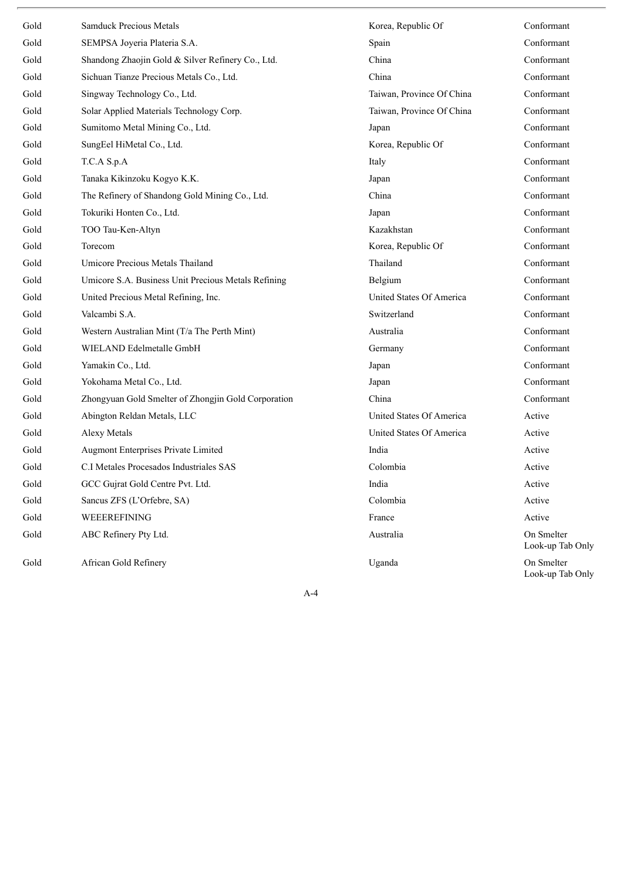| Gold | <b>Samduck Precious Metals</b>                      | Korea, Republic Of        | Conformant                     |
|------|-----------------------------------------------------|---------------------------|--------------------------------|
| Gold | SEMPSA Joyeria Plateria S.A.                        | Spain                     | Conformant                     |
| Gold | Shandong Zhaojin Gold & Silver Refinery Co., Ltd.   | China                     | Conformant                     |
| Gold | Sichuan Tianze Precious Metals Co., Ltd.            | China                     | Conformant                     |
| Gold | Singway Technology Co., Ltd.                        | Taiwan, Province Of China | Conformant                     |
| Gold | Solar Applied Materials Technology Corp.            | Taiwan, Province Of China | Conformant                     |
| Gold | Sumitomo Metal Mining Co., Ltd.                     | Japan                     | Conformant                     |
| Gold | SungEel HiMetal Co., Ltd.                           | Korea, Republic Of        | Conformant                     |
| Gold | T.C.A S.p.A                                         | Italy                     | Conformant                     |
| Gold | Tanaka Kikinzoku Kogyo K.K.                         | Japan                     | Conformant                     |
| Gold | The Refinery of Shandong Gold Mining Co., Ltd.      | China                     | Conformant                     |
| Gold | Tokuriki Honten Co., Ltd.                           | Japan                     | Conformant                     |
| Gold | TOO Tau-Ken-Altyn                                   | Kazakhstan                | Conformant                     |
| Gold | Torecom                                             | Korea, Republic Of        | Conformant                     |
| Gold | Umicore Precious Metals Thailand                    | Thailand                  | Conformant                     |
| Gold | Umicore S.A. Business Unit Precious Metals Refining | Belgium                   | Conformant                     |
| Gold | United Precious Metal Refining, Inc.                | United States Of America  | Conformant                     |
| Gold | Valcambi S.A.                                       | Switzerland               | Conformant                     |
| Gold | Western Australian Mint (T/a The Perth Mint)        | Australia                 | Conformant                     |
| Gold | WIELAND Edelmetalle GmbH                            | Germany                   | Conformant                     |
| Gold | Yamakin Co., Ltd.                                   | Japan                     | Conformant                     |
| Gold | Yokohama Metal Co., Ltd.                            | Japan                     | Conformant                     |
| Gold | Zhongyuan Gold Smelter of Zhongjin Gold Corporation | China                     | Conformant                     |
| Gold | Abington Reldan Metals, LLC                         | United States Of America  | Active                         |
| Gold | Alexy Metals                                        | United States Of America  | Active                         |
| Gold | Augmont Enterprises Private Limited                 | India                     | Active                         |
| Gold | C.I Metales Procesados Industriales SAS             | Colombia                  | Active                         |
| Gold | GCC Gujrat Gold Centre Pvt. Ltd.                    | India                     | Active                         |
| Gold | Sancus ZFS (L'Orfebre, SA)                          | Colombia                  | Active                         |
| Gold | WEEEREFINING                                        | France                    | Active                         |
| Gold | ABC Refinery Pty Ltd.                               | Australia                 | On Smelter<br>Look-up Tab Only |
| Gold | African Gold Refinery                               | Uganda                    | On Smelter                     |

Look-up Tab Only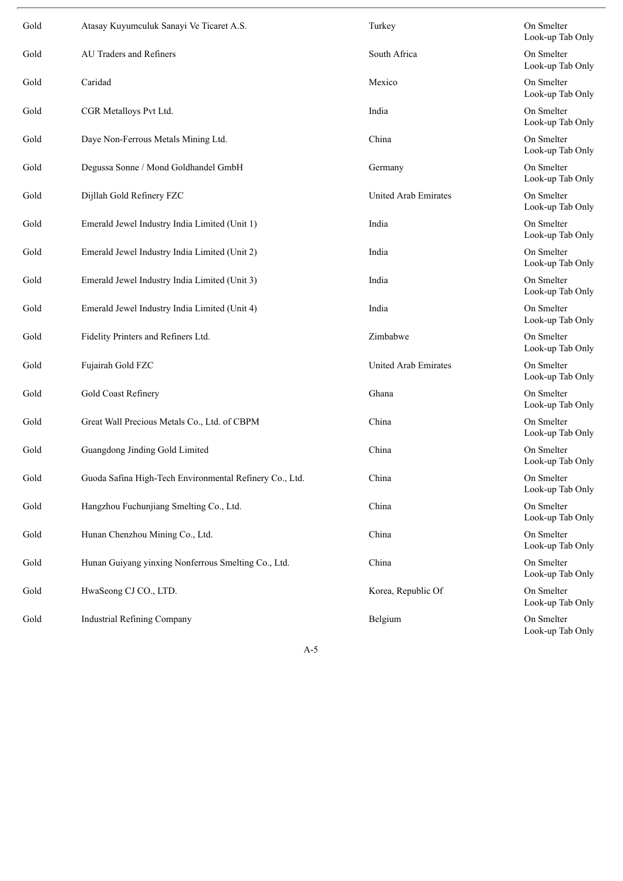| Gold | Atasay Kuyumculuk Sanayi Ve Ticaret A.S.                | Turkey               | On Smelter<br>Look-up Tab Only |
|------|---------------------------------------------------------|----------------------|--------------------------------|
| Gold | AU Traders and Refiners                                 | South Africa         | On Smelter<br>Look-up Tab Only |
| Gold | Caridad                                                 | Mexico               | On Smelter<br>Look-up Tab Only |
| Gold | CGR Metalloys Pvt Ltd.                                  | India                | On Smelter<br>Look-up Tab Only |
| Gold | Daye Non-Ferrous Metals Mining Ltd.                     | China                | On Smelter<br>Look-up Tab Only |
| Gold | Degussa Sonne / Mond Goldhandel GmbH                    | Germany              | On Smelter<br>Look-up Tab Only |
| Gold | Dijllah Gold Refinery FZC                               | United Arab Emirates | On Smelter<br>Look-up Tab Only |
| Gold | Emerald Jewel Industry India Limited (Unit 1)           | India                | On Smelter<br>Look-up Tab Only |
| Gold | Emerald Jewel Industry India Limited (Unit 2)           | India                | On Smelter<br>Look-up Tab Only |
| Gold | Emerald Jewel Industry India Limited (Unit 3)           | India                | On Smelter<br>Look-up Tab Only |
| Gold | Emerald Jewel Industry India Limited (Unit 4)           | India                | On Smelter<br>Look-up Tab Only |
| Gold | Fidelity Printers and Refiners Ltd.                     | Zimbabwe             | On Smelter<br>Look-up Tab Only |
| Gold | Fujairah Gold FZC                                       | United Arab Emirates | On Smelter<br>Look-up Tab Only |
| Gold | Gold Coast Refinery                                     | Ghana                | On Smelter<br>Look-up Tab Only |
| Gold | Great Wall Precious Metals Co., Ltd. of CBPM            | China                | On Smelter<br>Look-up Tab Only |
| Gold | Guangdong Jinding Gold Limited                          | China                | On Smelter<br>Look-up Tab Only |
| Gold | Guoda Safina High-Tech Environmental Refinery Co., Ltd. | China                | On Smelter<br>Look-up Tab Only |
| Gold | Hangzhou Fuchunjiang Smelting Co., Ltd.                 | China                | On Smelter<br>Look-up Tab Only |
| Gold | Hunan Chenzhou Mining Co., Ltd.                         | China                | On Smelter<br>Look-up Tab Only |
| Gold | Hunan Guiyang yinxing Nonferrous Smelting Co., Ltd.     | China                | On Smelter<br>Look-up Tab Only |
| Gold | HwaSeong CJ CO., LTD.                                   | Korea, Republic Of   | On Smelter<br>Look-up Tab Only |
| Gold | <b>Industrial Refining Company</b>                      | Belgium              | On Smelter<br>Look-up Tab Only |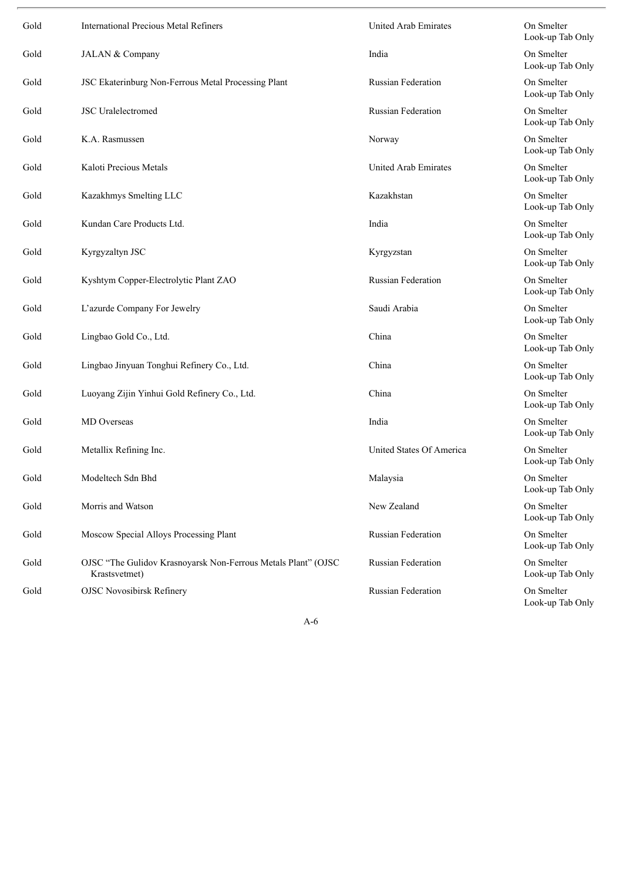| Gold | <b>International Precious Metal Refiners</b>                                   | United Arab Emirates      | On Smelter<br>Look-up Tab Only |
|------|--------------------------------------------------------------------------------|---------------------------|--------------------------------|
| Gold | JALAN & Company                                                                | India                     | On Smelter<br>Look-up Tab Only |
| Gold | JSC Ekaterinburg Non-Ferrous Metal Processing Plant                            | Russian Federation        | On Smelter<br>Look-up Tab Only |
| Gold | <b>JSC</b> Uralelectromed                                                      | Russian Federation        | On Smelter<br>Look-up Tab Only |
| Gold | K.A. Rasmussen                                                                 | Norway                    | On Smelter<br>Look-up Tab Only |
| Gold | Kaloti Precious Metals                                                         | United Arab Emirates      | On Smelter<br>Look-up Tab Only |
| Gold | Kazakhmys Smelting LLC                                                         | Kazakhstan                | On Smelter<br>Look-up Tab Only |
| Gold | Kundan Care Products Ltd.                                                      | India                     | On Smelter<br>Look-up Tab Only |
| Gold | Kyrgyzaltyn JSC                                                                | Kyrgyzstan                | On Smelter<br>Look-up Tab Only |
| Gold | Kyshtym Copper-Electrolytic Plant ZAO                                          | <b>Russian Federation</b> | On Smelter<br>Look-up Tab Only |
| Gold | L'azurde Company For Jewelry                                                   | Saudi Arabia              | On Smelter<br>Look-up Tab Only |
| Gold | Lingbao Gold Co., Ltd.                                                         | China                     | On Smelter<br>Look-up Tab Only |
| Gold | Lingbao Jinyuan Tonghui Refinery Co., Ltd.                                     | China                     | On Smelter<br>Look-up Tab Only |
| Gold | Luoyang Zijin Yinhui Gold Refinery Co., Ltd.                                   | China                     | On Smelter<br>Look-up Tab Only |
| Gold | MD Overseas                                                                    | India                     | On Smelter<br>Look-up Tab Only |
| Gold | Metallix Refining Inc.                                                         | United States Of America  | On Smelter<br>Look-up Tab Only |
| Gold | Modeltech Sdn Bhd                                                              | Malaysia                  | On Smelter<br>Look-up Tab Only |
| Gold | Morris and Watson                                                              | New Zealand               | On Smelter<br>Look-up Tab Only |
| Gold | Moscow Special Alloys Processing Plant                                         | Russian Federation        | On Smelter<br>Look-up Tab Only |
| Gold | OJSC "The Gulidov Krasnoyarsk Non-Ferrous Metals Plant" (OJSC<br>Krastsvetmet) | Russian Federation        | On Smelter<br>Look-up Tab Only |
| Gold | <b>OJSC Novosibirsk Refinery</b>                                               | Russian Federation        | On Smelter<br>Look-up Tab Only |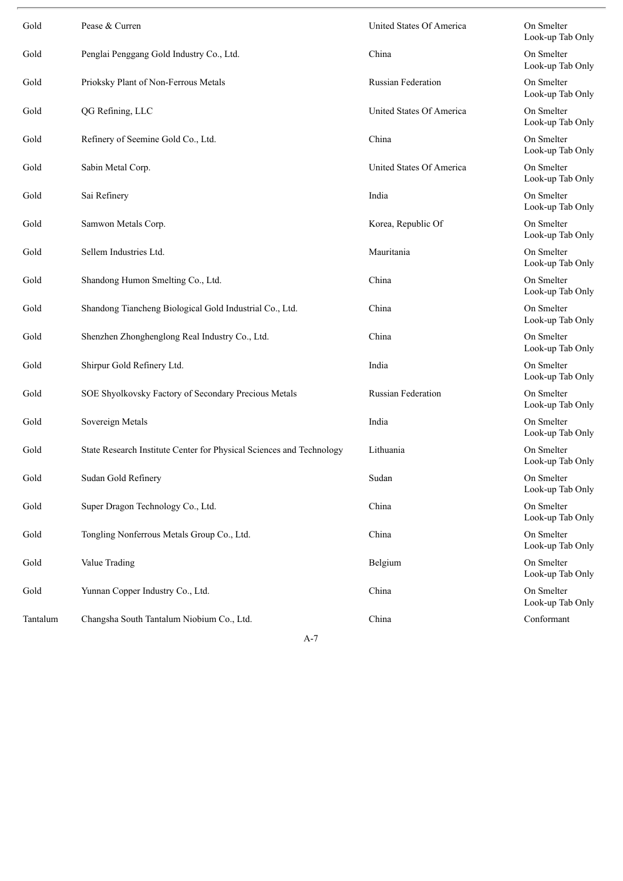| Gold     | Pease & Curren                                                       | United States Of America | On Smelter<br>Look-up Tab Only |
|----------|----------------------------------------------------------------------|--------------------------|--------------------------------|
| Gold     | Penglai Penggang Gold Industry Co., Ltd.                             | China                    | On Smelter<br>Look-up Tab Only |
| Gold     | Prioksky Plant of Non-Ferrous Metals                                 | Russian Federation       | On Smelter<br>Look-up Tab Only |
| Gold     | QG Refining, LLC                                                     | United States Of America | On Smelter<br>Look-up Tab Only |
| Gold     | Refinery of Seemine Gold Co., Ltd.                                   | China                    | On Smelter<br>Look-up Tab Only |
| Gold     | Sabin Metal Corp.                                                    | United States Of America | On Smelter<br>Look-up Tab Only |
| Gold     | Sai Refinery                                                         | India                    | On Smelter<br>Look-up Tab Only |
| Gold     | Samwon Metals Corp.                                                  | Korea, Republic Of       | On Smelter<br>Look-up Tab Only |
| Gold     | Sellem Industries Ltd.                                               | Mauritania               | On Smelter<br>Look-up Tab Only |
| Gold     | Shandong Humon Smelting Co., Ltd.                                    | China                    | On Smelter<br>Look-up Tab Only |
| Gold     | Shandong Tiancheng Biological Gold Industrial Co., Ltd.              | China                    | On Smelter<br>Look-up Tab Only |
| Gold     | Shenzhen Zhonghenglong Real Industry Co., Ltd.                       | China                    | On Smelter<br>Look-up Tab Only |
| Gold     | Shirpur Gold Refinery Ltd.                                           | India                    | On Smelter<br>Look-up Tab Only |
| Gold     | SOE Shyolkovsky Factory of Secondary Precious Metals                 | Russian Federation       | On Smelter<br>Look-up Tab Only |
| Gold     | Sovereign Metals                                                     | India                    | On Smelter<br>Look-up Tab Only |
| Gold     | State Research Institute Center for Physical Sciences and Technology | Lithuania                | On Smelter<br>Look-up Tab Only |
| Gold     | Sudan Gold Refinery                                                  | Sudan                    | On Smelter<br>Look-up Tab Only |
| Gold     | Super Dragon Technology Co., Ltd.                                    | China                    | On Smelter<br>Look-up Tab Only |
| Gold     | Tongling Nonferrous Metals Group Co., Ltd.                           | China                    | On Smelter<br>Look-up Tab Only |
| Gold     | Value Trading                                                        | Belgium                  | On Smelter<br>Look-up Tab Only |
| Gold     | Yunnan Copper Industry Co., Ltd.                                     | China                    | On Smelter<br>Look-up Tab Only |
| Tantalum | Changsha South Tantalum Niobium Co., Ltd.                            | China                    | Conformant                     |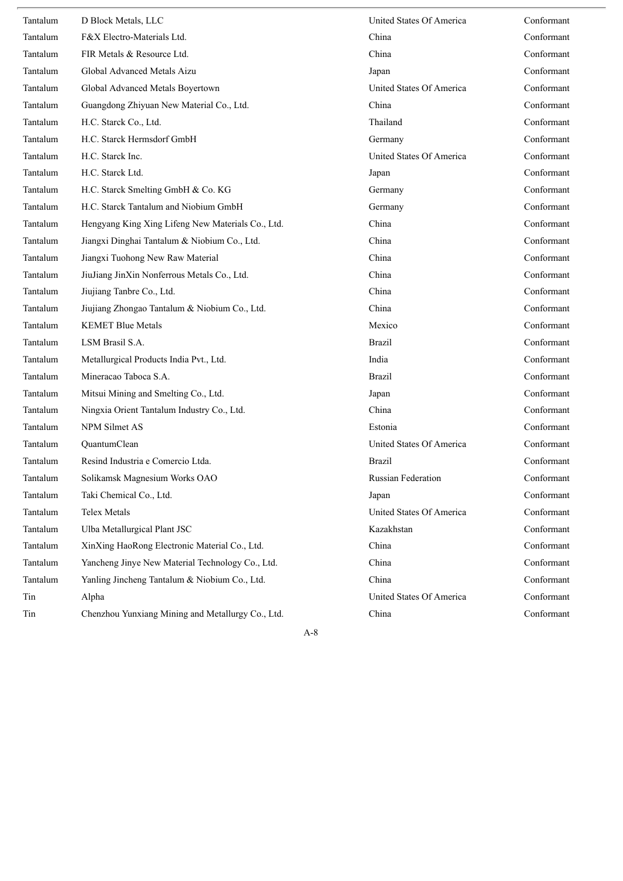| Tantalum | D Block Metals, LLC                               | United States Of America  | Conformant |
|----------|---------------------------------------------------|---------------------------|------------|
| Tantalum | F&X Electro-Materials Ltd.                        | China                     | Conformant |
| Tantalum | FIR Metals & Resource Ltd.                        | China                     | Conformant |
| Tantalum | Global Advanced Metals Aizu                       | Japan                     | Conformant |
| Tantalum | Global Advanced Metals Boyertown                  | United States Of America  | Conformant |
| Tantalum | Guangdong Zhiyuan New Material Co., Ltd.          | China                     | Conformant |
| Tantalum | H.C. Starck Co., Ltd.                             | Thailand                  | Conformant |
| Tantalum | H.C. Starck Hermsdorf GmbH                        | Germany                   | Conformant |
| Tantalum | H.C. Starck Inc.                                  | United States Of America  | Conformant |
| Tantalum | H.C. Starck Ltd.                                  | Japan                     | Conformant |
| Tantalum | H.C. Starck Smelting GmbH & Co. KG                | Germany                   | Conformant |
| Tantalum | H.C. Starck Tantalum and Niobium GmbH             | Germany                   | Conformant |
| Tantalum | Hengyang King Xing Lifeng New Materials Co., Ltd. | China                     | Conformant |
| Tantalum | Jiangxi Dinghai Tantalum & Niobium Co., Ltd.      | China                     | Conformant |
| Tantalum | Jiangxi Tuohong New Raw Material                  | China                     | Conformant |
| Tantalum | JiuJiang JinXin Nonferrous Metals Co., Ltd.       | China                     | Conformant |
| Tantalum | Jiujiang Tanbre Co., Ltd.                         | China                     | Conformant |
| Tantalum | Jiujiang Zhongao Tantalum & Niobium Co., Ltd.     | China                     | Conformant |
| Tantalum | <b>KEMET Blue Metals</b>                          | Mexico                    | Conformant |
| Tantalum | LSM Brasil S.A.                                   | <b>Brazil</b>             | Conformant |
| Tantalum | Metallurgical Products India Pvt., Ltd.           | India                     | Conformant |
| Tantalum | Mineracao Taboca S.A.                             | <b>Brazil</b>             | Conformant |
| Tantalum | Mitsui Mining and Smelting Co., Ltd.              | Japan                     | Conformant |
| Tantalum | Ningxia Orient Tantalum Industry Co., Ltd.        | China                     | Conformant |
| Tantalum | <b>NPM Silmet AS</b>                              | Estonia                   | Conformant |
| Tantalum | QuantumClean                                      | United States Of America  | Conformant |
| Tantalum | Resind Industria e Comercio Ltda.                 | Brazil                    | Conformant |
| Tantalum | Solikamsk Magnesium Works OAO                     | <b>Russian Federation</b> | Conformant |
| Tantalum | Taki Chemical Co., Ltd.                           | Japan                     | Conformant |
| Tantalum | Telex Metals                                      | United States Of America  | Conformant |
| Tantalum | Ulba Metallurgical Plant JSC                      | Kazakhstan                | Conformant |
| Tantalum | XinXing HaoRong Electronic Material Co., Ltd.     | China                     | Conformant |
| Tantalum | Yancheng Jinye New Material Technology Co., Ltd.  | China                     | Conformant |
| Tantalum | Yanling Jincheng Tantalum & Niobium Co., Ltd.     | China                     | Conformant |
| Tin      | Alpha                                             | United States Of America  | Conformant |
| Tin      | Chenzhou Yunxiang Mining and Metallurgy Co., Ltd. | China                     | Conformant |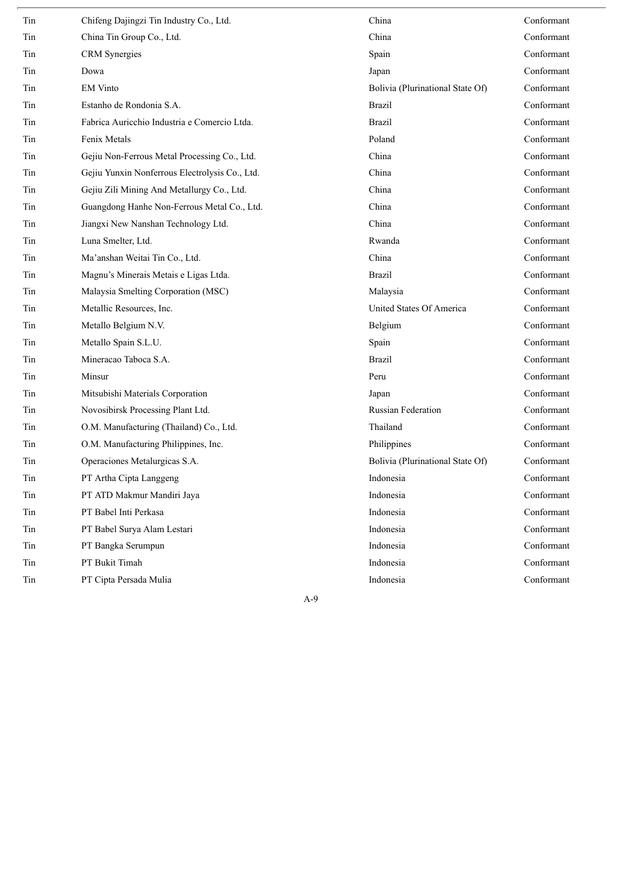| Tin | Chifeng Dajingzi Tin Industry Co., Ltd.        | China                            | Conformant |
|-----|------------------------------------------------|----------------------------------|------------|
| Tin | China Tin Group Co., Ltd.                      | China                            | Conformant |
| Tin | <b>CRM</b> Synergies                           | Spain                            | Conformant |
| Tin | Dowa                                           | Japan                            | Conformant |
| Tin | <b>EM Vinto</b>                                | Bolivia (Plurinational State Of) | Conformant |
| Tin | Estanho de Rondonia S.A.                       | <b>Brazil</b>                    | Conformant |
| Tin | Fabrica Auricchio Industria e Comercio Ltda.   | <b>Brazil</b>                    | Conformant |
| Tin | Fenix Metals                                   | Poland                           | Conformant |
| Tin | Gejiu Non-Ferrous Metal Processing Co., Ltd.   | China                            | Conformant |
| Tin | Gejiu Yunxin Nonferrous Electrolysis Co., Ltd. | China                            | Conformant |
| Tin | Gejiu Zili Mining And Metallurgy Co., Ltd.     | China                            | Conformant |
| Tin | Guangdong Hanhe Non-Ferrous Metal Co., Ltd.    | China                            | Conformant |
| Tin | Jiangxi New Nanshan Technology Ltd.            | China                            | Conformant |
| Tin | Luna Smelter, Ltd.                             | Rwanda                           | Conformant |
| Tin | Ma'anshan Weitai Tin Co., Ltd.                 | China                            | Conformant |
| Tin | Magnu's Minerais Metais e Ligas Ltda.          | <b>Brazil</b>                    | Conformant |
| Tin | Malaysia Smelting Corporation (MSC)            | Malaysia                         | Conformant |
| Tin | Metallic Resources, Inc.                       | United States Of America         | Conformant |
| Tin | Metallo Belgium N.V.                           | Belgium                          | Conformant |
| Tin | Metallo Spain S.L.U.                           | Spain                            | Conformant |
| Tin | Mineracao Taboca S.A.                          | <b>Brazil</b>                    | Conformant |
| Tin | Minsur                                         | Peru                             | Conformant |
| Tin | Mitsubishi Materials Corporation               | Japan                            | Conformant |
| Tin | Novosibirsk Processing Plant Ltd.              | <b>Russian Federation</b>        | Conformant |
| Tin | O.M. Manufacturing (Thailand) Co., Ltd.        | Thailand                         | Conformant |
| Tin | O.M. Manufacturing Philippines, Inc.           | Philippines                      | Conformant |
| Tin | Operaciones Metalurgicas S.A.                  | Bolivia (Plurinational State Of) | Conformant |
| Tin | PT Artha Cipta Langgeng                        | Indonesia                        | Conformant |
| Tin | PT ATD Makmur Mandiri Jaya                     | Indonesia                        | Conformant |
| Tin | PT Babel Inti Perkasa                          | Indonesia                        | Conformant |
| Tin | PT Babel Surya Alam Lestari                    | Indonesia                        | Conformant |
| Tin | PT Bangka Serumpun                             | Indonesia                        | Conformant |
| Tin | PT Bukit Timah                                 | Indonesia                        | Conformant |
| Tin | PT Cipta Persada Mulia                         | Indonesia                        | Conformant |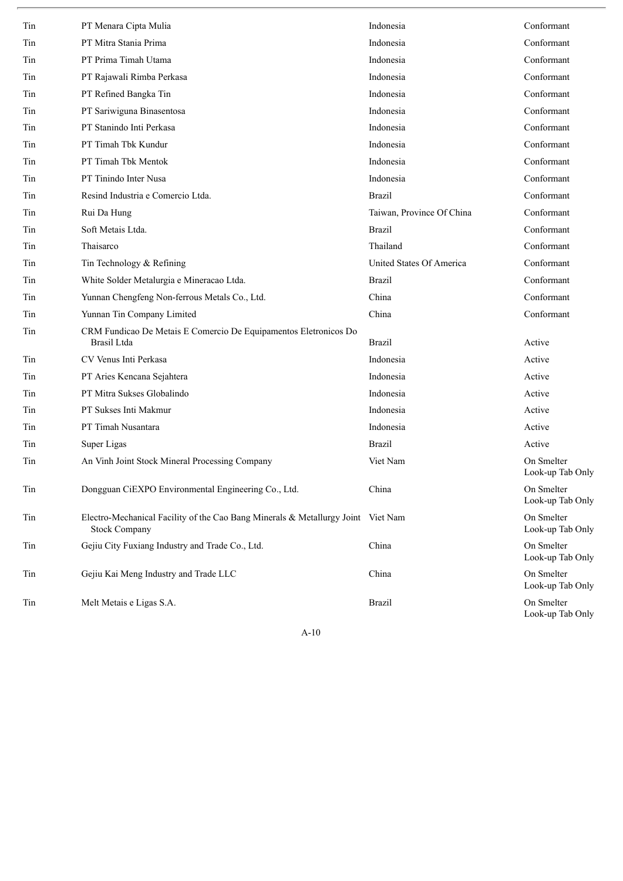| Tin | PT Menara Cipta Mulia                                                                                    | Indonesia                 | Conformant                     |
|-----|----------------------------------------------------------------------------------------------------------|---------------------------|--------------------------------|
| Tin | PT Mitra Stania Prima                                                                                    | Indonesia                 | Conformant                     |
| Tin | PT Prima Timah Utama                                                                                     | Indonesia                 | Conformant                     |
| Tin | PT Rajawali Rimba Perkasa                                                                                | Indonesia                 | Conformant                     |
| Tin | PT Refined Bangka Tin                                                                                    | Indonesia                 | Conformant                     |
| Tin | PT Sariwiguna Binasentosa                                                                                | Indonesia                 | Conformant                     |
| Tin | PT Stanindo Inti Perkasa                                                                                 | Indonesia                 | Conformant                     |
| Tin | PT Timah Tbk Kundur                                                                                      | Indonesia                 | Conformant                     |
| Tin | PT Timah Tbk Mentok                                                                                      | Indonesia                 | Conformant                     |
| Tin | PT Tinindo Inter Nusa                                                                                    | Indonesia                 | Conformant                     |
| Tin | Resind Industria e Comercio Ltda.                                                                        | <b>Brazil</b>             | Conformant                     |
| Tin | Rui Da Hung                                                                                              | Taiwan, Province Of China | Conformant                     |
| Tin | Soft Metais Ltda.                                                                                        | <b>Brazil</b>             | Conformant                     |
| Tin | Thaisarco                                                                                                | Thailand                  | Conformant                     |
| Tin | Tin Technology & Refining                                                                                | United States Of America  | Conformant                     |
| Tin | White Solder Metalurgia e Mineracao Ltda.                                                                | <b>Brazil</b>             | Conformant                     |
| Tin | Yunnan Chengfeng Non-ferrous Metals Co., Ltd.                                                            | China                     | Conformant                     |
| Tin | Yunnan Tin Company Limited                                                                               | China                     | Conformant                     |
| Tin | CRM Fundicao De Metais E Comercio De Equipamentos Eletronicos Do<br><b>Brasil</b> Ltda                   | <b>Brazil</b>             | Active                         |
| Tin | CV Venus Inti Perkasa                                                                                    | Indonesia                 | Active                         |
| Tin | PT Aries Kencana Sejahtera                                                                               | Indonesia                 | Active                         |
| Tin | PT Mitra Sukses Globalindo                                                                               | Indonesia                 | Active                         |
| Tin | PT Sukses Inti Makmur                                                                                    | Indonesia                 | Active                         |
| Tin | PT Timah Nusantara                                                                                       | Indonesia                 | Active                         |
| Tin | Super Ligas                                                                                              | <b>Brazil</b>             | Active                         |
| Tin | An Vinh Joint Stock Mineral Processing Company                                                           | Viet Nam                  | On Smelter<br>Look-up Tab Only |
| Tin | Dongguan CiEXPO Environmental Engineering Co., Ltd.                                                      | China                     | On Smelter<br>Look-up Tab Only |
| Tin | Electro-Mechanical Facility of the Cao Bang Minerals & Metallurgy Joint Viet Nam<br><b>Stock Company</b> |                           | On Smelter<br>Look-up Tab Only |
| Tin | Gejiu City Fuxiang Industry and Trade Co., Ltd.                                                          | China                     | On Smelter<br>Look-up Tab Only |
| Tin | Gejiu Kai Meng Industry and Trade LLC                                                                    | China                     | On Smelter<br>Look-up Tab Only |
| Tin | Melt Metais e Ligas S.A.                                                                                 | <b>Brazil</b>             | On Smelter<br>Look-up Tab Only |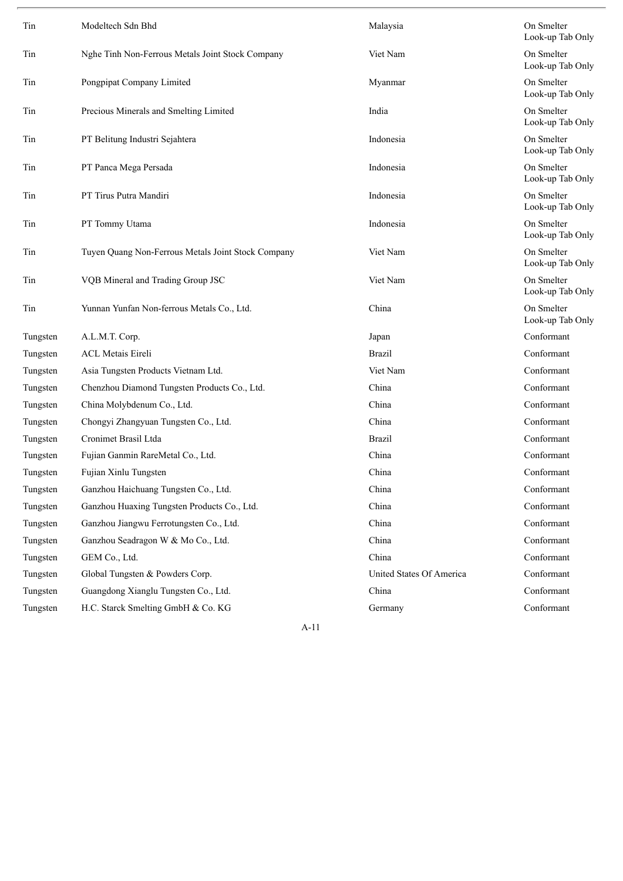| Tin      | Modeltech Sdn Bhd                                  | Malaysia                 | On Smelter<br>Look-up Tab Only |
|----------|----------------------------------------------------|--------------------------|--------------------------------|
| Tin      | Nghe Tinh Non-Ferrous Metals Joint Stock Company   | Viet Nam                 | On Smelter<br>Look-up Tab Only |
| Tin      | Pongpipat Company Limited                          | Myanmar                  | On Smelter<br>Look-up Tab Only |
| Tin      | Precious Minerals and Smelting Limited             | India                    | On Smelter<br>Look-up Tab Only |
| Tin      | PT Belitung Industri Sejahtera                     | Indonesia                | On Smelter<br>Look-up Tab Only |
| Tin      | PT Panca Mega Persada                              | Indonesia                | On Smelter<br>Look-up Tab Only |
| Tin      | PT Tirus Putra Mandiri                             | Indonesia                | On Smelter<br>Look-up Tab Only |
| Tin      | PT Tommy Utama                                     | Indonesia                | On Smelter<br>Look-up Tab Only |
| Tin      | Tuyen Quang Non-Ferrous Metals Joint Stock Company | Viet Nam                 | On Smelter<br>Look-up Tab Only |
| Tin      | VQB Mineral and Trading Group JSC                  | Viet Nam                 | On Smelter<br>Look-up Tab Only |
| Tin      | Yunnan Yunfan Non-ferrous Metals Co., Ltd.         | China                    | On Smelter<br>Look-up Tab Only |
| Tungsten | A.L.M.T. Corp.                                     | Japan                    | Conformant                     |
| Tungsten | <b>ACL Metais Eireli</b>                           | <b>Brazil</b>            | Conformant                     |
| Tungsten | Asia Tungsten Products Vietnam Ltd.                | Viet Nam                 | Conformant                     |
| Tungsten | Chenzhou Diamond Tungsten Products Co., Ltd.       | China                    | Conformant                     |
| Tungsten | China Molybdenum Co., Ltd.                         | China                    | Conformant                     |
| Tungsten | Chongyi Zhangyuan Tungsten Co., Ltd.               | China                    | Conformant                     |
| Tungsten | Cronimet Brasil Ltda                               | <b>Brazil</b>            | Conformant                     |
| Tungsten | Fujian Ganmin RareMetal Co., Ltd.                  | China                    | Conformant                     |
| Tungsten | Fujian Xinlu Tungsten                              | China                    | Conformant                     |
| Tungsten | Ganzhou Haichuang Tungsten Co., Ltd.               | China                    | Conformant                     |
| Tungsten | Ganzhou Huaxing Tungsten Products Co., Ltd.        | China                    | Conformant                     |
| Tungsten | Ganzhou Jiangwu Ferrotungsten Co., Ltd.            | China                    | Conformant                     |
| Tungsten | Ganzhou Seadragon W & Mo Co., Ltd.                 | China                    | Conformant                     |
| Tungsten | GEM Co., Ltd.                                      | China                    | Conformant                     |
| Tungsten | Global Tungsten & Powders Corp.                    | United States Of America | Conformant                     |
| Tungsten | Guangdong Xianglu Tungsten Co., Ltd.               | China                    | Conformant                     |
| Tungsten | H.C. Starck Smelting GmbH & Co. KG                 | Germany                  | Conformant                     |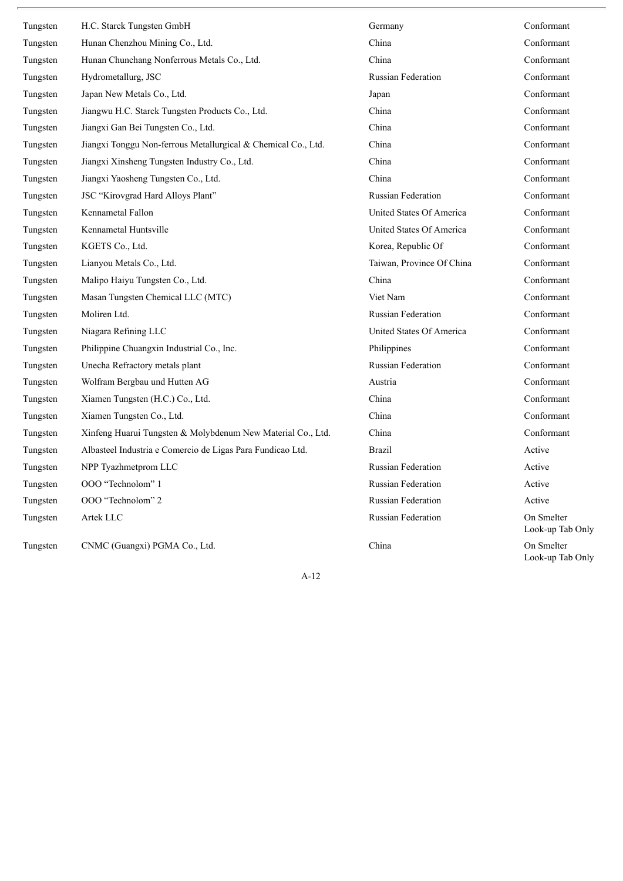| Tungsten | H.C. Starck Tungsten GmbH                                     | Germany                   | Conformant                     |
|----------|---------------------------------------------------------------|---------------------------|--------------------------------|
| Tungsten | Hunan Chenzhou Mining Co., Ltd.                               | China                     | Conformant                     |
| Tungsten | Hunan Chunchang Nonferrous Metals Co., Ltd.                   | China                     | Conformant                     |
| Tungsten | Hydrometallurg, JSC                                           | <b>Russian Federation</b> | Conformant                     |
| Tungsten | Japan New Metals Co., Ltd.                                    | Japan                     | Conformant                     |
| Tungsten | Jiangwu H.C. Starck Tungsten Products Co., Ltd.               | China                     | Conformant                     |
| Tungsten | Jiangxi Gan Bei Tungsten Co., Ltd.                            | China                     | Conformant                     |
| Tungsten | Jiangxi Tonggu Non-ferrous Metallurgical & Chemical Co., Ltd. | China                     | Conformant                     |
| Tungsten | Jiangxi Xinsheng Tungsten Industry Co., Ltd.                  | China                     | Conformant                     |
| Tungsten | Jiangxi Yaosheng Tungsten Co., Ltd.                           | China                     | Conformant                     |
| Tungsten | JSC "Kirovgrad Hard Alloys Plant"                             | <b>Russian Federation</b> | Conformant                     |
| Tungsten | Kennametal Fallon                                             | United States Of America  | Conformant                     |
| Tungsten | Kennametal Huntsville                                         | United States Of America  | Conformant                     |
| Tungsten | KGETS Co., Ltd.                                               | Korea, Republic Of        | Conformant                     |
| Tungsten | Lianyou Metals Co., Ltd.                                      | Taiwan, Province Of China | Conformant                     |
| Tungsten | Malipo Haiyu Tungsten Co., Ltd.                               | China                     | Conformant                     |
| Tungsten | Masan Tungsten Chemical LLC (MTC)                             | Viet Nam                  | Conformant                     |
| Tungsten | Moliren Ltd.                                                  | <b>Russian Federation</b> | Conformant                     |
| Tungsten | Niagara Refining LLC                                          | United States Of America  | Conformant                     |
| Tungsten | Philippine Chuangxin Industrial Co., Inc.                     | Philippines               | Conformant                     |
| Tungsten | Unecha Refractory metals plant                                | <b>Russian Federation</b> | Conformant                     |
| Tungsten | Wolfram Bergbau und Hutten AG                                 | Austria                   | Conformant                     |
| Tungsten | Xiamen Tungsten (H.C.) Co., Ltd.                              | China                     | Conformant                     |
| Tungsten | Xiamen Tungsten Co., Ltd.                                     | China                     | Conformant                     |
| Tungsten | Xinfeng Huarui Tungsten & Molybdenum New Material Co., Ltd.   | China                     | Conformant                     |
| Tungsten | Albasteel Industria e Comercio de Ligas Para Fundicao Ltd.    | <b>Brazil</b>             | Active                         |
| Tungsten | NPP Tyazhmetprom LLC                                          | <b>Russian Federation</b> | Active                         |
| Tungsten | OOO "Technolom" 1                                             | <b>Russian Federation</b> | Active                         |
| Tungsten | OOO "Technolom" 2                                             | <b>Russian Federation</b> | Active                         |
| Tungsten | Artek LLC                                                     | <b>Russian Federation</b> | On Smelter<br>Look-up Tab Only |
| Tungsten | CNMC (Guangxi) PGMA Co., Ltd.                                 | China                     | On Smelter<br>Look-up Tab Only |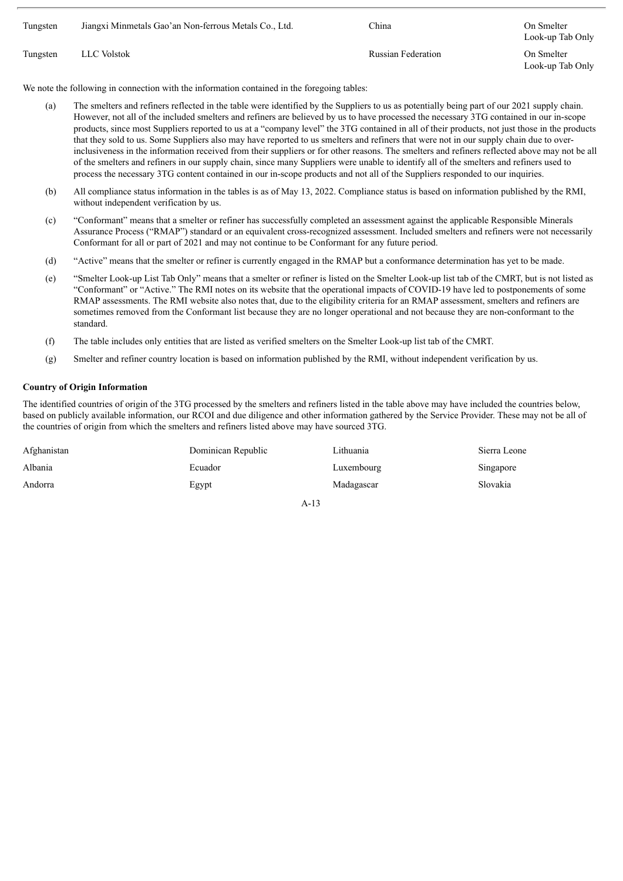| Tungsten | Jiangxi Minmetals Gao'an Non-ferrous Metals Co., Ltd. | China                     | On Smelter<br>Look-up Tab Only |
|----------|-------------------------------------------------------|---------------------------|--------------------------------|
| Tungsten | LLC Volstok                                           | <b>Russian Federation</b> | On Smelter<br>Look-up Tab Only |

We note the following in connection with the information contained in the foregoing tables:

- (a) The smelters and refiners reflected in the table were identified by the Suppliers to us as potentially being part of our 2021 supply chain. However, not all of the included smelters and refiners are believed by us to have processed the necessary 3TG contained in our in-scope products, since most Suppliers reported to us at a "company level" the 3TG contained in all of their products, not just those in the products that they sold to us. Some Suppliers also may have reported to us smelters and refiners that were not in our supply chain due to overinclusiveness in the information received from their suppliers or for other reasons. The smelters and refiners reflected above may not be all of the smelters and refiners in our supply chain, since many Suppliers were unable to identify all of the smelters and refiners used to process the necessary 3TG content contained in our in-scope products and not all of the Suppliers responded to our inquiries.
- (b) All compliance status information in the tables is as of May 13, 2022. Compliance status is based on information published by the RMI, without independent verification by us.
- (c) "Conformant" means that a smelter or refiner has successfully completed an assessment against the applicable Responsible Minerals Assurance Process ("RMAP") standard or an equivalent cross-recognized assessment. Included smelters and refiners were not necessarily Conformant for all or part of 2021 and may not continue to be Conformant for any future period.
- (d) "Active" means that the smelter or refiner is currently engaged in the RMAP but a conformance determination has yet to be made.
- (e) "Smelter Look-up List Tab Only" means that a smelter or refiner is listed on the Smelter Look-up list tab of the CMRT, but is not listed as "Conformant" or "Active." The RMI notes on its website that the operational impacts of COVID-19 have led to postponements of some RMAP assessments. The RMI website also notes that, due to the eligibility criteria for an RMAP assessment, smelters and refiners are sometimes removed from the Conformant list because they are no longer operational and not because they are non-conformant to the standard.
- (f) The table includes only entities that are listed as verified smelters on the Smelter Look-up list tab of the CMRT.
- (g) Smelter and refiner country location is based on information published by the RMI, without independent verification by us.

#### **Country of Origin Information**

The identified countries of origin of the 3TG processed by the smelters and refiners listed in the table above may have included the countries below, based on publicly available information, our RCOI and due diligence and other information gathered by the Service Provider. These may not be all of the countries of origin from which the smelters and refiners listed above may have sourced 3TG.

| Afghanistan | Dominican Republic | Lithuania  | Sierra Leone |
|-------------|--------------------|------------|--------------|
| Albania     | Ecuador            | Luxembourg | Singapore    |
| Andorra     | Egypt              | Madagascar | Slovakia     |